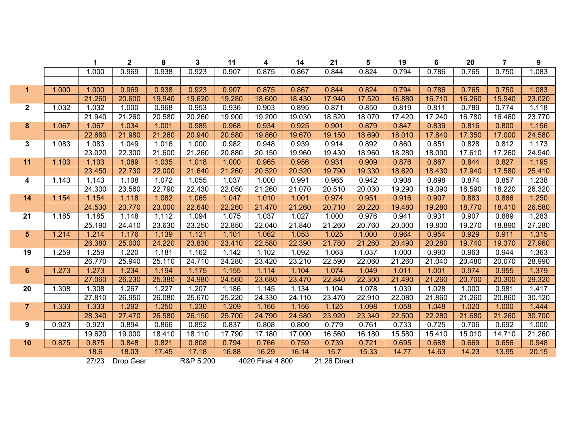|                         |       | 1      | $\overline{2}$ | 8      | 3         | 11     | 4                | 14     | 21           | 5      | 19     | $\bf 6$ | 20     | $\overline{7}$ | $\boldsymbol{9}$ |
|-------------------------|-------|--------|----------------|--------|-----------|--------|------------------|--------|--------------|--------|--------|---------|--------|----------------|------------------|
|                         |       | 1.000  | 0.969          | 0.938  | 0.923     | 0.907  | 0.875            | 0.867  | 0.844        | 0.824  | 0.794  | 0.786   | 0.765  | 0.750          | 1.083            |
|                         |       |        |                |        |           |        |                  |        |              |        |        |         |        |                |                  |
| $\mathbf{1}$            | 1.000 | 1.000  | 0.969          | 0.938  | 0.923     | 0.907  | 0.875            | 0.867  | 0.844        | 0.824  | 0.794  | 0.786   | 0.765  | 0.750          | 1.083            |
|                         |       | 21.260 | 20.600         | 19.940 | 19.620    | 19.280 | 18.600           | 18.430 | 17.940       | 17.520 | 16.880 | 16.710  | 16.260 | 15.940         | 23.020           |
| $\mathbf{2}$            | 1.032 | 1.032  | 1.000          | 0.968  | 0.953     | 0.936  | 0.903            | 0.895  | 0.871        | 0.850  | 0.819  | 0.811   | 0.789  | 0.774          | 1.118            |
|                         |       | 21.940 | 21.260         | 20.580 | 20.260    | 19.900 | 19.200           | 19.030 | 18.520       | 18.070 | 17.420 | 17.240  | 16.780 | 16.460         | 23.770           |
| $\bf{8}$                | 1.067 | 1.067  | 1.034          | 1.001  | 0.985     | 0.968  | 0.934            | 0.925  | 0.901        | 0.879  | 0.847  | 0.839   | 0.816  | 0.800          | 1.156            |
|                         |       | 22.680 | 21.980         | 21.260 | 20.940    | 20.580 | 19.860           | 19.670 | 19.150       | 18.690 | 18.010 | 17.840  | 17.350 | 17.000         | 24.580           |
| $\mathbf{3}$            | 1.083 | 1.083  | 1.049          | 1.016  | 1.000     | 0.982  | 0.948            | 0.939  | 0.914        | 0.892  | 0.860  | 0.851   | 0.828  | 0.812          | 1.173            |
|                         |       | 23.020 | 22.300         | 21.600 | 21.260    | 20.880 | 20.150           | 19.960 | 19.430       | 18.960 | 18.280 | 18.090  | 17.610 | 17.260         | 24.940           |
| 11                      | 1.103 | 1.103  | 1.069          | 1.035  | 1.018     | 1.000  | 0.965            | 0.956  | 0.931        | 0.909  | 0.876  | 0.867   | 0.844  | 0.827          | 1.195            |
|                         |       | 23.450 | 22.730         | 22.000 | 21.640    | 21.260 | 20.520           | 20.320 | 19.790       | 19.330 | 18.620 | 18.430  | 17.940 | 17.580         | 25.410           |
| $\overline{\mathbf{4}}$ | 1.143 | 1.143  | 1.108          | 1.072  | 1.055     | 1.037  | 1.000            | 0.991  | 0.965        | 0.942  | 0.908  | 0.898   | 0.874  | 0.857          | 1.238            |
|                         |       | 24.300 | 23.560         | 22.790 | 22.430    | 22.050 | 21.260           | 21.070 | 20.510       | 20.030 | 19.290 | 19.090  | 18.590 | 18.220         | 26.320           |
| 14                      | 1.154 | 1.154  | 1.118          | 1.082  | 1.065     | 1.047  | 1.010            | 1.001  | 0.974        | 0.951  | 0.916  | 0.907   | 0.883  | 0.866          | 1.250            |
|                         |       | 24.530 | 23.770         | 23.000 | 22.640    | 22.260 | 21.470           | 21.260 | 20.710       | 20.220 | 19.480 | 19.280  | 18.770 | 18.410         | 26.580           |
| 21                      | 1.185 | 1.185  | 1.148          | 1.112  | 1.094     | 1.075  | 1.037            | 1.027  | 1.000        | 0.976  | 0.941  | 0.931   | 0.907  | 0.889          | 1.283            |
|                         |       | 25.190 | 24.410         | 23.630 | 23.250    | 22.850 | 22.040           | 21.840 | 21.260       | 20.760 | 20.000 | 19.800  | 19.270 | 18.890         | 27.280           |
| 5                       | 1.214 | 1.214  | 1.176          | 1.139  | 1.121     | 1.101  | 1.062            | 1.053  | 1.025        | 1.000  | 0.964  | 0.954   | 0.929  | 0.911          | 1.315            |
|                         |       | 26.380 | 25.000         | 24.220 | 23.830    | 23.410 | 22.580           | 22.390 | 21.780       | 21.260 | 20.490 | 20.280  | 19.740 | 19.370         | 27.960           |
| 19                      | 1.259 | 1.259  | 1.220          | 1.181  | 1.162     | 1.142  | 1.102            | 1.092  | 1.063        | 1.037  | 1.000  | 0.990   | 0.963  | 0.944          | 1.363            |
|                         |       | 26.770 | 25.940         | 25.110 | 24.710    | 24.280 | 23.420           | 23.210 | 22.590       | 22.060 | 21.260 | 21.040  | 20.480 | 20.070         | 28.990           |
| $\bf 6$                 | 1.273 | 1.273  | 1.234          | 1.194  | 1.175     | 1.155  | 1.114            | 1.104  | 1.074        | 1.049  | 1.011  | 1.001   | 0.974  | 0.955          | 1.379            |
|                         |       | 27.060 | 26.230         | 25.380 | 24.980    | 24.560 | 23.680           | 23.470 | 22.840       | 22.300 | 21.490 | 21.260  | 20.700 | 20.300         | 29.320           |
| 20                      | 1.308 | 1.308  | 1.267          | 1.227  | 1.207     | 1.186  | 1.145            | 1.134  | 1.104        | 1.078  | 1.039  | 1.028   | 1.000  | 0.981          | 1.417            |
|                         |       | 27.810 | 26.950         | 26.080 | 25.670    | 25.220 | 24.330           | 24.110 | 23.470       | 22.910 | 22.080 | 21.860  | 21.260 | 20.860         | 30.120           |
| $\overline{7}$          | 1.333 | 1.333  | 1.292          | 1.250  | 1.230     | 1.209  | 1.166            | 1.156  | 1.125        | 1.098  | 1.058  | 1.048   | 1.020  | 1.000          | 1.444            |
|                         |       | 28.340 | 27.470         | 26.580 | 26.150    | 25.700 | 24.790           | 24.580 | 23.920       | 23.340 | 22.500 | 22.280  | 21.680 | 21.260         | 30.700           |
| 9                       | 0.923 | 0.923  | 0.894          | 0.866  | 0.852     | 0.837  | 0.808            | 0.800  | 0.779        | 0.761  | 0.733  | 0.725   | 0.706  | 0.692          | 1.000            |
|                         |       | 19.620 | 19.000         | 18.410 | 18.110    | 17.790 | 17.180           | 17.000 | 16.560       | 16.180 | 15.580 | 15.410  | 15.010 | 14.710         | 21.260           |
| 10                      | 0.875 | 0.875  | 0.848          | 0.821  | 0.808     | 0.794  | 0.766            | 0.759  | 0.739        | 0.721  | 0.695  | 0.688   | 0.669  | 0.656          | 0.948            |
|                         |       | 18.6   | 18.03          | 17.45  | 17.18     | 16.88  | 16.29            | 16.14  | 15.7         | 15.33  | 14.77  | 14.63   | 14.23  | 13.95          | 20.15            |
|                         |       | 27/23  | Drop Gear      |        | R&P 5.200 |        | 4020 Final 4.800 |        | 21.26 Direct |        |        |         |        |                |                  |